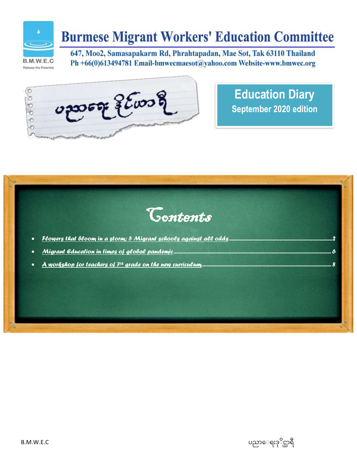

# **Burmese Migrant Workers' Education Committee**

Release the Potential

647, Moo2, Samasapakarm Rd, Phrahtapadan, Mae Sot, Tak 63110 Thailand Ph +66(0)613494781 Email-bmwecmaesot@yahoo.com Website-www.bmwec.org



**Education Diary September 2020 edition**



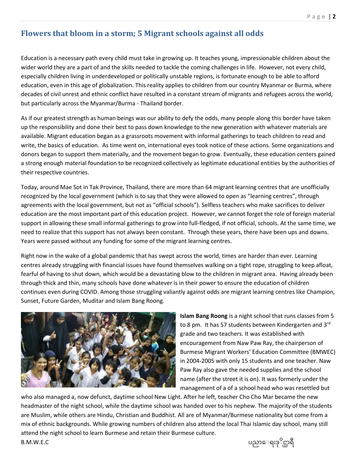## <span id="page-1-0"></span>**Flowers that bloom in a storm; 5 Migrant schools against all odds**

Education is a necessary path every child must take in growing up. It teaches young, impressionable children about the wider world they are a part of and the skills needed to tackle the coming challenges in life. However, not every child, especially children living in underdeveloped or politically unstable regions, is fortunate enough to be able to afford education, even in this age of globalization. This reality applies to children from our country Myanmar or Burma, where decades of civil unrest and ethnic conflict have resulted in a constant stream of migrants and refugees across the world, but particularly across the Myanmar/Burma - Thailand border.

As if our greatest strength as human beings was our ability to defy the odds, many people along this border have taken up the responsibility and done their best to pass down knowledge to the new generation with whatever materials are available. Migrant education began as a grassroots movement with informal gatherings to teach children to read and write, the basics of education. As time went on, international eyes took notice of these actions. Some organizations and donors began to support them materially, and the movement began to grow. Eventually, these education centers gained a strong enough material foundation to be recognized collectively as legitimate educational entities by the authorities of their respective countries.

Today, around Mae Sot in Tak Province, Thailand, there are more than 64 migrant learning centres that are unofficially recognized by the local government (which is to say that they were allowed to open as "learning centres", through agreements with the local government, but not as "official schools"). Selfless teachers who make sacrifices to deliver education are the most important part of this education project. However, we cannot forget the role of foreign material support in allowing these small informal gatherings to grow into full-fledged, if not official, schools. At the same time, we need to realize that this support has not always been constant. Through these years, there have been ups and downs. Years were passed without any funding for some of the migrant learning centres.

Right now in the wake of a global pandemic that has swept across the world, times are harder than ever. Learning centres already struggling with financial issues have found themselves walking on a tight rope, struggling to keep afloat, fearful of having to shut down, which would be a devastating blow to the children in migrant area. Having already been through thick and thin, many schools have done whatever is in their power to ensure the education of children continues even during COVID. Among those struggling valiantly against odds are migrant learning centres like Champion, Sunset, Future Garden, Muditar and Islam Bang Roong.



**Islam Bang Roong** is a night school that runs classes from 5 to 8 pm. It has 57 students between Kindergarten and 3<sup>rd</sup> grade and two teachers. It was established with encouragement from Naw Paw Ray, the chairperson of Burmese Migrant Workers' Education Committee (BMWEC) in 2004-2005 with only 15 students and one teacher. Naw Paw Ray also gave the needed supplies and the school name (after the street it is on). It was formerly under the management of a of a school head who was resettled but

who also managed a, now defunct, daytime school New Light. After he left, teacher Cho Cho Mar became the new headmaster of the night school, while the daytime school was handed over to his nephew. The majority of the students are Muslim, while others are Hindu, Christian and Buddhist. All are of Myanmar/Burmese nationality but come from a mix of ethnic backgrounds. While growing numbers of children also attend the local Thai Islamic day school, many still attend the night school to learn Burmese and retain their Burmese culture.

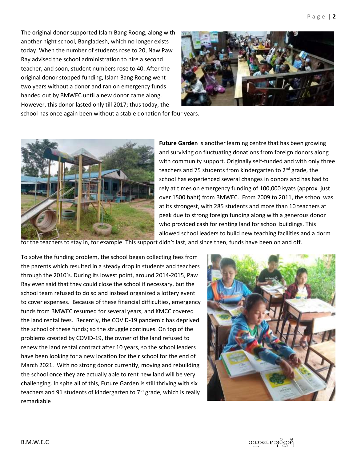The original donor supported Islam Bang Roong, along with another night school, Bangladesh, which no longer exists today. When the number of students rose to 20, Naw Paw Ray advised the school administration to hire a second teacher, and soon, student numbers rose to 40. After the original donor stopped funding, Islam Bang Roong went two years without a donor and ran on emergency funds handed out by BMWEC until a new donor came along. However, this donor lasted only till 2017; thus today, the



school has once again been without a stable donation for four years.



**Future Garden** is another learning centre that has been growing and surviving on fluctuating donations from foreign donors along with community support. Originally self-funded and with only three teachers and 75 students from kindergarten to  $2^{nd}$  grade, the school has experienced several changes in donors and has had to rely at times on emergency funding of 100,000 kyats (approx. just over 1500 baht) from BMWEC. From 2009 to 2011, the school was at its strongest, with 285 students and more than 10 teachers at peak due to strong foreign funding along with a generous donor who provided cash for renting land for school buildings. This allowed school leaders to build new teaching facilities and a dorm

for the teachers to stay in, for example. This support didn't last, and since then, funds have been on and off.

To solve the funding problem, the school began collecting fees from the parents which resulted in a steady drop in students and teachers through the 2010's. During its lowest point, around 2014-2015, Paw Ray even said that they could close the school if necessary, but the school team refused to do so and instead organized a lottery event to cover expenses. Because of these financial difficulties, emergency funds from BMWEC resumed for several years, and KMCC covered the land rental fees. Recently, the COVID-19 pandemic has deprived the school of these funds; so the struggle continues. On top of the problems created by COVID-19, the owner of the land refused to renew the land rental contract after 10 years, so the school leaders have been looking for a new location for their school for the end of March 2021. With no strong donor currently, moving and rebuilding the school once they are actually able to rent new land will be very challenging. In spite all of this, Future Garden is still thriving with six teachers and 91 students of kindergarten to  $7<sup>th</sup>$  grade, which is really remarkable!



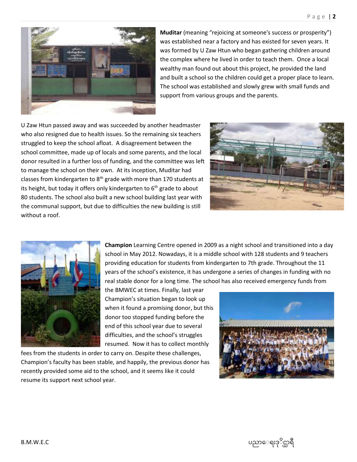

**Muditar** (meaning "rejoicing at someone's success or prosperity") was established near a factory and has existed for seven years. It was formed by U Zaw Htun who began gathering children around the complex where he lived in order to teach them. Once a local wealthy man found out about this project, he provided the land and built a school so the children could get a proper place to learn. The school was established and slowly grew with small funds and support from various groups and the parents.

U Zaw Htun passed away and was succeeded by another headmaster who also resigned due to health issues. So the remaining six teachers struggled to keep the school afloat. A disagreement between the school committee, made up of locals and some parents, and the local donor resulted in a further loss of funding, and the committee was left to manage the school on their own. At its inception, Muditar had classes from kindergarten to  $8<sup>th</sup>$  grade with more than 170 students at its height, but today it offers only kindergarten to  $6<sup>th</sup>$  grade to about 80 students. The school also built a new school building last year with the communal support, but due to difficulties the new building is still without a roof.





**Champion** Learning Centre opened in 2009 as a night school and transitioned into a day school in May 2012. Nowadays, it is a middle school with 128 students and 9 teachers providing education for students from kindergarten to 7th grade. Throughout the 11 years of the school's existence, it has undergone a series of changes in funding with no real stable donor for a long time. The school has also received emergency funds from

the BMWEC at times. Finally, last year Champion's situation began to look up when it found a promising donor, but this donor too stopped funding before the end of this school year due to several difficulties, and the school's struggles resumed. Now it has to collect monthly

fees from the students in order to carry on. Despite these challenges, Champion's faculty has been stable, and happily, the previous donor has recently provided some aid to the school, and it seems like it could resume its support next school year.



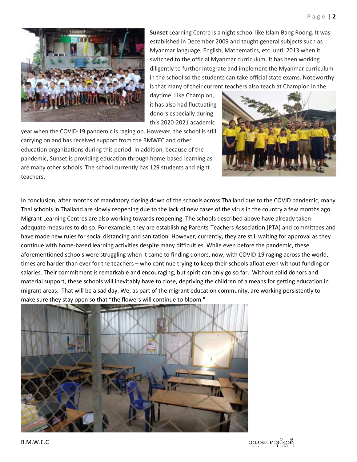

**Sunset** Learning Centre is a night school like Islam Bang Roong. It was established in December 2009 and taught general subjects such as Myanmar language, English, Mathematics, etc. until 2013 when it switched to the official Myanmar curriculum. It has been working diligently to further integrate and implement the Myanmar curriculum in the school so the students can take official state exams. Noteworthy is that many of their current teachers also teach at Champion in the

daytime. Like Champion, it has also had fluctuating donors especially during this 2020-2021 academic

year when the COVID-19 pandemic is raging on. However, the school is still carrying on and has received support from the BMWEC and other education organizations during this period. In addition, because of the pandemic, Sunset is providing education through home-based learning as are many other schools. The school currently has 129 students and eight teachers.



In conclusion, after months of mandatory closing down of the schools across Thailand due to the COVID pandemic, many Thai schools in Thailand are slowly reopening due to the lack of new cases of the virus in the country a few months ago. Migrant Learning Centres are also working towards reopening. The schools described above have already taken adequate measures to do so. For example, they are establishing Parents-Teachers Association (PTA) and committees and have made new rules for social distancing and sanitation. However, currently, they are still waiting for approval as they continue with home-based learning activities despite many difficulties. While even before the pandemic, these aforementioned schools were struggling when it came to finding donors, now, with COVID-19 raging across the world, times are harder than ever for the teachers – who continue trying to keep their schools afloat even without funding or salaries. Their commitment is remarkable and encouraging, but spirit can only go so far. Without solid donors and material support, these schools will inevitably have to close, depriving the children of a means for getting education in migrant areas. That will be a sad day. We, as part of the migrant education community, are working persistently to make sure they stay open so that "the flowers will continue to bloom."



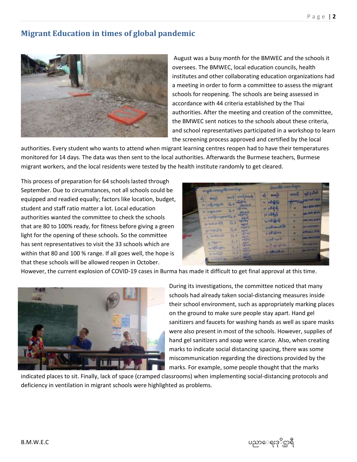### <span id="page-5-0"></span>**Migrant Education in times of global pandemic**



August was a busy month for the BMWEC and the schools it oversees. The BMWEC, local education councils, health institutes and other collaborating education organizations had a meeting in order to form a committee to assess the migrant schools for reopening. The schools are being assessed in accordance with 44 criteria established by the Thai authorities. After the meeting and creation of the committee, the BMWEC sent notices to the schools about these criteria, and school representatives participated in a workshop to learn the screening process approved and certified by the local

authorities. Every student who wants to attend when migrant learning centres reopen had to have their temperatures monitored for 14 days. The data was then sent to the local authorities. Afterwards the Burmese teachers, Burmese migrant workers, and the local residents were tested by the health institute randomly to get cleared.

This process of preparation for 64 schools lasted through September. Due to circumstances, not all schools could be equipped and readied equally; factors like location, budget, student and staff ratio matter a lot. Local education authorities wanted the committee to check the schools that are 80 to 100% ready, for fitness before giving a green light for the opening of these schools. So the committee has sent representatives to visit the 33 schools which are within that 80 and 100 % range. If all goes well, the hope is that these schools will be allowed reopen in October.

| single stringellt samburs      | will completely                         | <b>WHAT OF</b>           | <b>Karnet</b>     | <b>HEIGHAR</b>         |
|--------------------------------|-----------------------------------------|--------------------------|-------------------|------------------------|
| NAS<br>s,                      |                                         | <b>ATM FE</b>            | <b>STATISTICS</b> | <b>DOUGHT THE TIME</b> |
| <b><i><u>SOLUTIONS</u></i></b> | $6.1 - 10$                              |                          |                   | be: 190794             |
| <b>HADSON</b>                  | <b>THE U.S. P.</b><br>6.3               | $13.92 - 16$             |                   | ALCOHOL: NO            |
| V. Diesemburg                  | $-43/70$<br><b>ALC AVE</b>              | pe edifici               |                   |                        |
| To The Section 1941            | Ga<br><b>Audi Ad</b>                    | To all offset            |                   | <b>VRY 283 2421</b>    |
|                                | <b>SERVICE</b>                          | Bancollan                |                   | <b>NIGHTPED</b>        |
| 30-120-2                       | 67<br><b>STATISTICS</b>                 | <b>CKECRED</b>           |                   | <b>APAINEL TER</b>     |
| L. williams                    | G <sub>3</sub><br>55<br><b>142 SPRS</b> | <b>Boultage</b>          |                   | 101.311.0173           |
| <b>Room</b>                    | 63<br><b>Course</b><br>195, 1970.       |                          |                   | <b>M.I. Call Park</b>  |
| A MOVING                       | $6 - 7$<br>m2+h                         | <b>Soll of the lines</b> |                   |                        |
| Daniel B                       | 15-<br>北方                               | Cittabe                  |                   |                        |

However, the current explosion of COVID-19 cases in Burma has made it difficult to get final approval at this time.



During its investigations, the committee noticed that many schools had already taken social-distancing measures inside their school environment, such as appropriately marking places on the ground to make sure people stay apart. Hand gel sanitizers and faucets for washing hands as well as spare masks were also present in most of the schools. However, supplies of hand gel sanitizers and soap were scarce. Also, when creating marks to indicate social distancing spacing, there was some miscommunication regarding the directions provided by the marks. For example, some people thought that the marks

indicated places to sit. Finally, lack of space (cramped classrooms) when implementing social-distancing protocols and deficiency in ventilation in migrant schools were highlighted as problems.

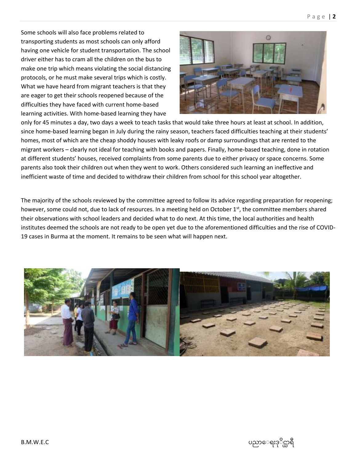Some schools will also face problems related to transporting students as most schools can only afford having one vehicle for student transportation. The school driver either has to cram all the children on the bus to make one trip which means violating the social distancing protocols, or he must make several trips which is costly. What we have heard from migrant teachers is that they are eager to get their schools reopened because of the difficulties they have faced with current home-based learning activities. With home-based learning they have



only for 45 minutes a day, two days a week to teach tasks that would take three hours at least at school. In addition, since home-based learning began in July during the rainy season, teachers faced difficulties teaching at their students' homes, most of which are the cheap shoddy houses with leaky roofs or damp surroundings that are rented to the migrant workers – clearly not ideal for teaching with books and papers. Finally, home-based teaching, done in rotation at different students' houses, received complaints from some parents due to either privacy or space concerns. Some parents also took their children out when they went to work. Others considered such learning an ineffective and inefficient waste of time and decided to withdraw their children from school for this school year altogether.

The majority of the schools reviewed by the committee agreed to follow its advice regarding preparation for reopening; however, some could not, due to lack of resources. In a meeting held on October  $1<sup>st</sup>$ , the committee members shared their observations with school leaders and decided what to do next. At this time, the local authorities and health institutes deemed the schools are not ready to be open yet due to the aforementioned difficulties and the rise of COVID-19 cases in Burma at the moment. It remains to be seen what will happen next.

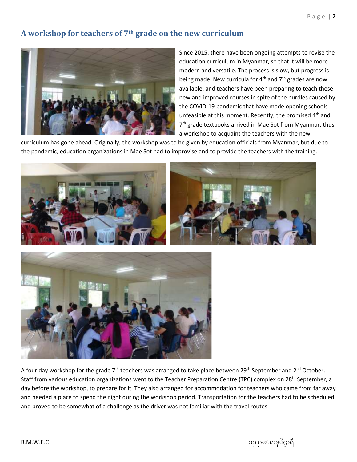### <span id="page-7-0"></span>**A workshop for teachers of 7th grade on the new curriculum**



Since 2015, there have been ongoing attempts to revise the education curriculum in Myanmar, so that it will be more modern and versatile. The process is slow, but progress is being made. New curricula for  $4<sup>th</sup>$  and  $7<sup>th</sup>$  grades are now available, and teachers have been preparing to teach these new and improved courses in spite of the hurdles caused by the COVID-19 pandemic that have made opening schools unfeasible at this moment. Recently, the promised 4<sup>th</sup> and 7<sup>th</sup> grade textbooks arrived in Mae Sot from Myanmar; thus a workshop to acquaint the teachers with the new

curriculum has gone ahead. Originally, the workshop was to be given by education officials from Myanmar, but due to the pandemic, education organizations in Mae Sot had to improvise and to provide the teachers with the training.





A four day workshop for the grade 7<sup>th</sup> teachers was arranged to take place between 29<sup>th</sup> September and 2<sup>nd</sup> October. Staff from various education organizations went to the Teacher Preparation Centre (TPC) complex on 28<sup>th</sup> September, a day before the workshop, to prepare for it. They also arranged for accommodation for teachers who came from far away and needed a place to spend the night during the workshop period. Transportation for the teachers had to be scheduled and proved to be somewhat of a challenge as the driver was not familiar with the travel routes.